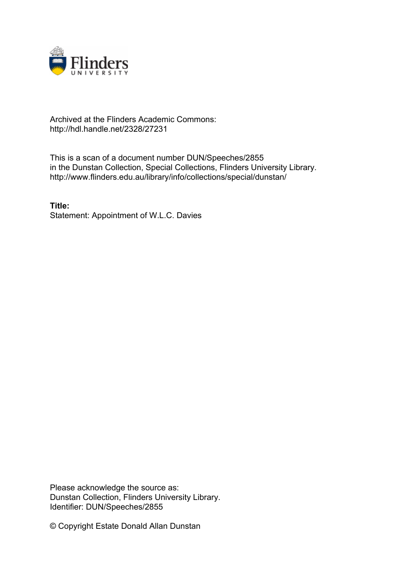

## Archived at the Flinders Academic Commons: http://hdl.handle.net/2328/27231

This is a scan of a document number DUN/Speeches/2855 in the Dunstan Collection, Special Collections, Flinders University Library. http://www.flinders.edu.au/library/info/collections/special/dunstan/

**Title:** Statement: Appointment of W.L.C. Davies

Please acknowledge the source as: Dunstan Collection, Flinders University Library. Identifier: DUN/Speeches/2855

© Copyright Estate Donald Allan Dunstan